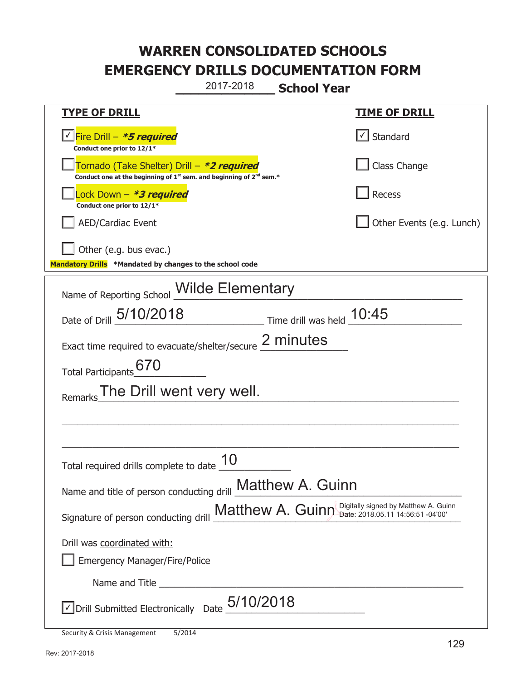**\_\_\_\_\_\_\_\_\_\_\_\_\_ School Year**  2017-2018

| <u>TYPE OF DRILL</u>                                                                                                                      | <u>TIME OF DRILL</u>        |  |
|-------------------------------------------------------------------------------------------------------------------------------------------|-----------------------------|--|
| Fire Drill - *5 required<br>Conduct one prior to 12/1*                                                                                    | √ Standard                  |  |
| Tornado (Take Shelter) Drill – *2 required<br>Conduct one at the beginning of 1 <sup>st</sup> sem. and beginning of 2 <sup>nd</sup> sem.* | Class Change                |  |
| Lock Down – <b>*<i>3 required</i></b><br>Conduct one prior to 12/1*                                                                       | <b>Recess</b>               |  |
| <b>AED/Cardiac Event</b>                                                                                                                  | Other Events (e.g. Lunch)   |  |
| Other (e.g. bus evac.)                                                                                                                    |                             |  |
| Mandatory Drills *Mandated by changes to the school code                                                                                  |                             |  |
| Name of Reporting School <b>Wilde Elementary</b>                                                                                          |                             |  |
| Date of Drill 5/10/2018                                                                                                                   | Time drill was held $10:45$ |  |
| Exact time required to evacuate/shelter/secure 2 minutes                                                                                  |                             |  |
| 670<br><b>Total Participants</b>                                                                                                          |                             |  |
| The Drill went very well.<br>Remarks                                                                                                      |                             |  |
|                                                                                                                                           |                             |  |
|                                                                                                                                           |                             |  |
| Total required drills complete to date                                                                                                    |                             |  |
| Name and title of person conducting drill Matthew A. Guinn                                                                                |                             |  |
| Signature of person conducting drill Matthew A. Guinn Digitally signed by Matthew A. Guinn                                                |                             |  |
| Drill was coordinated with:                                                                                                               |                             |  |
| <b>Emergency Manager/Fire/Police</b>                                                                                                      |                             |  |
|                                                                                                                                           |                             |  |
| JDrill Submitted Electronically Date $5/10/2018$                                                                                          |                             |  |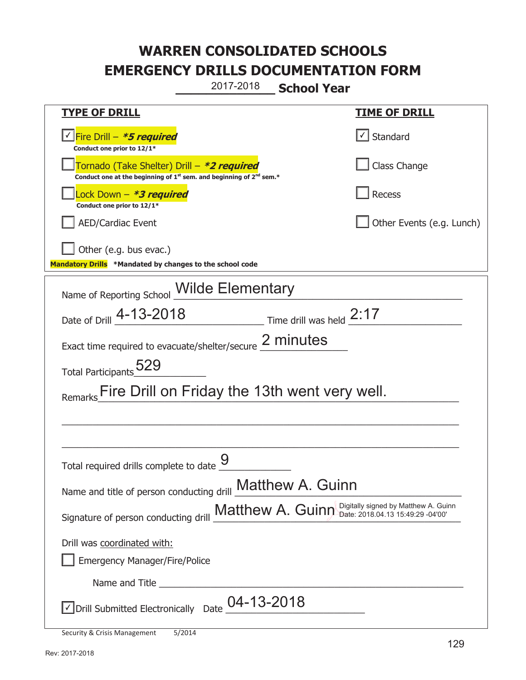**\_\_\_\_\_\_\_\_\_\_\_\_\_ School Year**  2017-2018

| <b>TYPE OF DRILL</b>                                                                                                                      | <u>TIME OF DRILL</u>         |
|-------------------------------------------------------------------------------------------------------------------------------------------|------------------------------|
| √ Fire Drill – <i>*5 required</i><br>Conduct one prior to 12/1*                                                                           | $\vert \cdot \vert$ Standard |
| Tornado (Take Shelter) Drill – *2 required<br>Conduct one at the beginning of 1 <sup>st</sup> sem. and beginning of 2 <sup>nd</sup> sem.* | Class Change                 |
| Lock Down - <b>*3 required</b><br>Conduct one prior to 12/1*                                                                              | Recess                       |
| <b>AED/Cardiac Event</b>                                                                                                                  | Other Events (e.g. Lunch)    |
| Other (e.g. bus evac.)                                                                                                                    |                              |
| Mandatory Drills *Mandated by changes to the school code                                                                                  |                              |
| Name of Reporting School <b>Wilde Elementary</b>                                                                                          |                              |
| Date of Drill 4-13-2018<br>$\frac{1}{2}$ Time drill was held $\frac{2:17}{2}$                                                             |                              |
| Exact time required to evacuate/shelter/secure 2 minutes                                                                                  |                              |
|                                                                                                                                           |                              |
| Total Participants 529                                                                                                                    |                              |
| Fire Drill on Friday the 13th went very well.                                                                                             |                              |
|                                                                                                                                           |                              |
|                                                                                                                                           |                              |
|                                                                                                                                           |                              |
| Total required drills complete to date                                                                                                    |                              |
| Name and title of person conducting drill Matthew A. Guinn                                                                                |                              |
|                                                                                                                                           |                              |
| Signature of person conducting drill Matthew A. Guinn Digitally signed by Matthew A. Guinn                                                |                              |
| Drill was coordinated with:                                                                                                               |                              |
| <b>Emergency Manager/Fire/Police</b>                                                                                                      |                              |
| Name and Title                                                                                                                            |                              |
| Drill Submitted Electronically Date $\underline{\begin{array}{c}04\text{-}13\text{-}2018\end{array}}$                                     |                              |
|                                                                                                                                           |                              |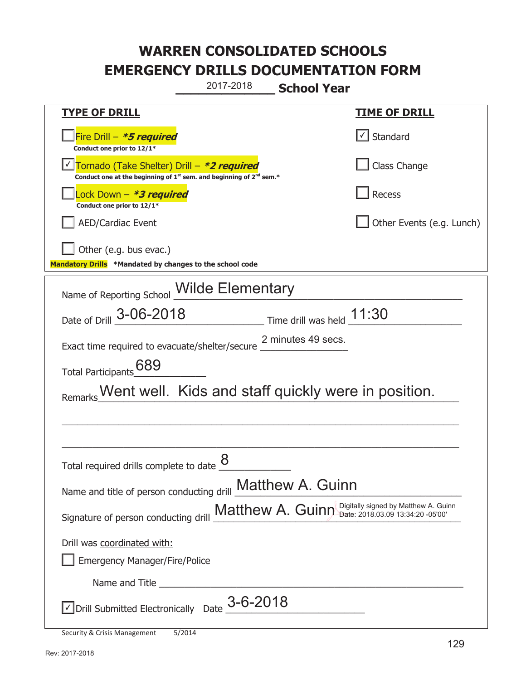**\_\_\_\_\_\_\_\_\_\_\_\_\_ School Year**  2017-2018

| <b>TYPE OF DRILL</b>                                                                                                                                                                                                                 | <b>TIME OF DRILL</b>                                    |  |
|--------------------------------------------------------------------------------------------------------------------------------------------------------------------------------------------------------------------------------------|---------------------------------------------------------|--|
| Fire Drill - *5 required<br>Conduct one prior to 12/1*                                                                                                                                                                               | Standard                                                |  |
| Tornado (Take Shelter) Drill - *2 required<br>Conduct one at the beginning of 1 <sup>st</sup> sem. and beginning of 2 <sup>nd</sup> sem.*                                                                                            | Class Change                                            |  |
| Lock Down - *3 required<br>Conduct one prior to 12/1*                                                                                                                                                                                | <b>Recess</b>                                           |  |
| <b>AED/Cardiac Event</b>                                                                                                                                                                                                             | Other Events (e.g. Lunch)                               |  |
| Other (e.g. bus evac.)                                                                                                                                                                                                               |                                                         |  |
| Mandatory Drills *Mandated by changes to the school code                                                                                                                                                                             |                                                         |  |
| Name of Reporting School <b>Wilde Elementary</b>                                                                                                                                                                                     |                                                         |  |
| Date of Drill 3-06-2018                                                                                                                                                                                                              | $\frac{11.30}{1}$ Time drill was held $\frac{11.30}{1}$ |  |
| Exact time required to evacuate/shelter/secure 2 minutes 49 secs.<br>689<br><b>Total Participants</b>                                                                                                                                |                                                         |  |
| Remarks Went well. Kids and staff quickly were in position.                                                                                                                                                                          |                                                         |  |
| Total required drills complete to date                                                                                                                                                                                               |                                                         |  |
| Name and title of person conducting drill <b>Matthew A. Guinn</b>                                                                                                                                                                    |                                                         |  |
| Signature of person conducting drill Matthew A. Guinn Digitally signed by Matthew A. Guinn                                                                                                                                           |                                                         |  |
| Drill was coordinated with:                                                                                                                                                                                                          |                                                         |  |
| <b>Emergency Manager/Fire/Police</b>                                                                                                                                                                                                 |                                                         |  |
| Name and Title <u>successive and the series of the series of the series of the series of the series of the series of the series of the series of the series of the series of the series of the series of the series of the serie</u> |                                                         |  |
| $\vee$ Drill Submitted Electronically Date $3$ -6-2018                                                                                                                                                                               |                                                         |  |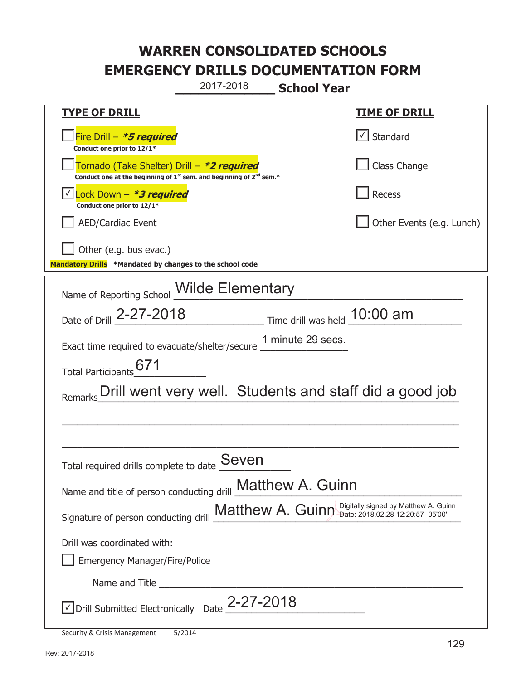**\_\_\_\_\_\_\_\_\_\_\_\_\_ School Year**  2017-2018

| <u>TYPE OF DRILL</u>                                                                                                                      | <b>TIME OF DRILL</b>      |  |
|-------------------------------------------------------------------------------------------------------------------------------------------|---------------------------|--|
| Fire Drill - *5 required<br>Conduct one prior to 12/1*                                                                                    | Standard                  |  |
| Tornado (Take Shelter) Drill – *2 required<br>Conduct one at the beginning of 1 <sup>st</sup> sem. and beginning of 2 <sup>nd</sup> sem.* | Class Change              |  |
| Lock Down - <b>*3 required</b><br>Conduct one prior to 12/1*                                                                              | Recess                    |  |
| <b>AED/Cardiac Event</b>                                                                                                                  | Other Events (e.g. Lunch) |  |
| Other (e.g. bus evac.)                                                                                                                    |                           |  |
| Mandatory Drills *Mandated by changes to the school code                                                                                  |                           |  |
| Name of Reporting School Wilde Elementary                                                                                                 |                           |  |
| Date of Drill 2-27-2018 Time drill was held 10:00 am                                                                                      |                           |  |
| Exact time required to evacuate/shelter/secure 1 minute 29 secs.                                                                          |                           |  |
| Total Participants                                                                                                                        |                           |  |
| Remarks Drill went very well. Students and staff did a good job                                                                           |                           |  |
|                                                                                                                                           |                           |  |
|                                                                                                                                           |                           |  |
| Seven<br>Total required drills complete to date                                                                                           |                           |  |
| Name and title of person conducting drill <b>Matthew A. Guinn</b>                                                                         |                           |  |
| Signature of person conducting drill Matthew A. Guinn Digitally signed by Matthew A. Guinn                                                |                           |  |
| Drill was coordinated with:                                                                                                               |                           |  |
| <b>Emergency Manager/Fire/Police</b>                                                                                                      |                           |  |
| Name and Title and Title and Title and Title and Title and Title and Title and Title and Title and Title and Title                        |                           |  |
| $\vee$ Drill Submitted Electronically Date $_{-}$ 2-27-2018                                                                               |                           |  |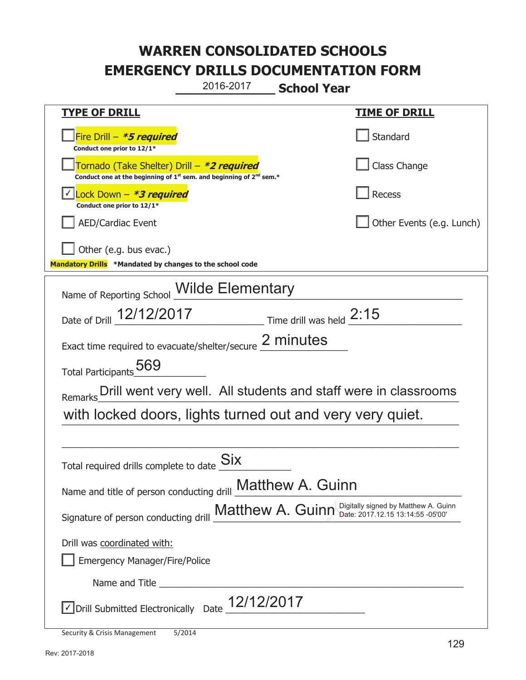**\_\_\_\_\_\_\_\_\_\_\_\_\_ School Year**  2016-2017

| <b>TYPE OF DRILL</b>                                                                                                        | <u>TIME OF DRILL</u>       |  |
|-----------------------------------------------------------------------------------------------------------------------------|----------------------------|--|
| Fire Drill - *5 required<br>Conduct one prior to 12/1*                                                                      | Standard                   |  |
| Tornado (Take Shelter) Drill – *2 required<br>Conduct one at the beginning of $1^{st}$ sem. and beginning of $2^{nd}$ sem.* | Class Change               |  |
| $\vert$ Lock Down - *3 required<br>Conduct one prior to 12/1*                                                               | Recess                     |  |
| <b>AED/Cardiac Event</b>                                                                                                    | Other Events (e.g. Lunch)  |  |
| Other (e.g. bus evac.)                                                                                                      |                            |  |
| Mandatory Drills *Mandated by changes to the school code                                                                    |                            |  |
| Name of Reporting School Milde Elementary                                                                                   |                            |  |
| Date of Drill 12/12/2017                                                                                                    | Time drill was held $2:15$ |  |
| Exact time required to evacuate/shelter/secure 2 minutes                                                                    |                            |  |
| Total Participants 569                                                                                                      |                            |  |
| Remarks Drill went very well. All students and staff were in classrooms                                                     |                            |  |
| with locked doors, lights turned out and very very quiet.                                                                   |                            |  |
|                                                                                                                             |                            |  |
| Total required drills complete to date                                                                                      |                            |  |
| Name and title of person conducting drill Matthew A. Guinn                                                                  |                            |  |
| Signature of person conducting drill Matthew A. Guinn Digitally signed by Matthew A. Guinn                                  |                            |  |
| Drill was coordinated with:                                                                                                 |                            |  |
| <b>Emergency Manager/Fire/Police</b>                                                                                        |                            |  |
|                                                                                                                             |                            |  |
| Oprill Submitted Electronically Date 12/12/2017                                                                             |                            |  |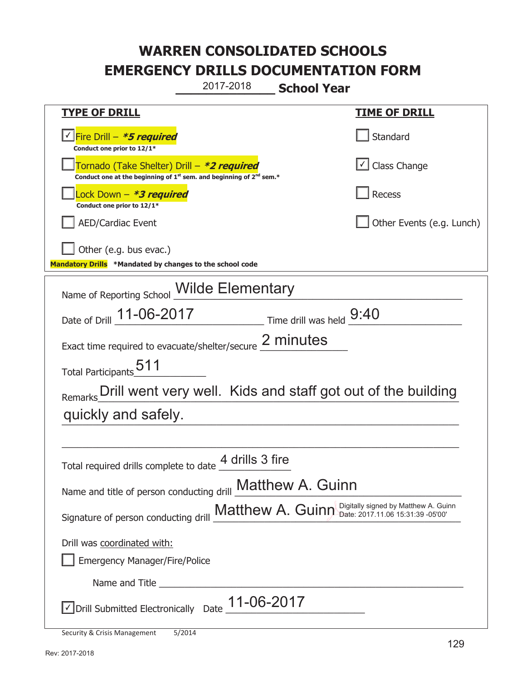**\_\_\_\_\_\_\_\_\_\_\_\_\_ School Year**  2017-2018

| <u>TYPE OF DRILL</u>                                                                                                                                                                                                           | <u>TIME OF DRILL</u>       |  |
|--------------------------------------------------------------------------------------------------------------------------------------------------------------------------------------------------------------------------------|----------------------------|--|
| Fire Drill - *5 required<br>Conduct one prior to 12/1*                                                                                                                                                                         | Standard                   |  |
| Tornado (Take Shelter) Drill – *2 required<br>Conduct one at the beginning of $1^{st}$ sem. and beginning of $2^{nd}$ sem.*                                                                                                    | $\cup$ Class Change        |  |
| Lock Down - <b>*3 required</b><br>Conduct one prior to 12/1*                                                                                                                                                                   | Recess                     |  |
| <b>AED/Cardiac Event</b>                                                                                                                                                                                                       | Other Events (e.g. Lunch)  |  |
| Other (e.g. bus evac.)                                                                                                                                                                                                         |                            |  |
| Mandatory Drills *Mandated by changes to the school code                                                                                                                                                                       |                            |  |
| Name of Reporting School Milde Elementary                                                                                                                                                                                      |                            |  |
| Date of Drill 11-06-2017                                                                                                                                                                                                       | Time drill was held $9:40$ |  |
| Exact time required to evacuate/shelter/secure 2 minutes                                                                                                                                                                       |                            |  |
| Total Participants <sub>2</sub> 511                                                                                                                                                                                            |                            |  |
| Remarks Drill went very well. Kids and staff got out of the building                                                                                                                                                           |                            |  |
| quickly and safely.                                                                                                                                                                                                            |                            |  |
|                                                                                                                                                                                                                                |                            |  |
| 4 drills 3 fire<br>Total required drills complete to date                                                                                                                                                                      |                            |  |
| Name and title of person conducting drill <b>Matthew A. Guinn</b>                                                                                                                                                              |                            |  |
| Signature of person conducting drill Matthew A. Guinn Digitally signed by Matthew A. Guinn                                                                                                                                     |                            |  |
| Drill was coordinated with:                                                                                                                                                                                                    |                            |  |
| <b>Emergency Manager/Fire/Police</b>                                                                                                                                                                                           |                            |  |
| Name and Title and the state of the state of the state of the state of the state of the state of the state of the state of the state of the state of the state of the state of the state of the state of the state of the stat |                            |  |
| √Drill Submitted Electronically Date 11-06-2017                                                                                                                                                                                |                            |  |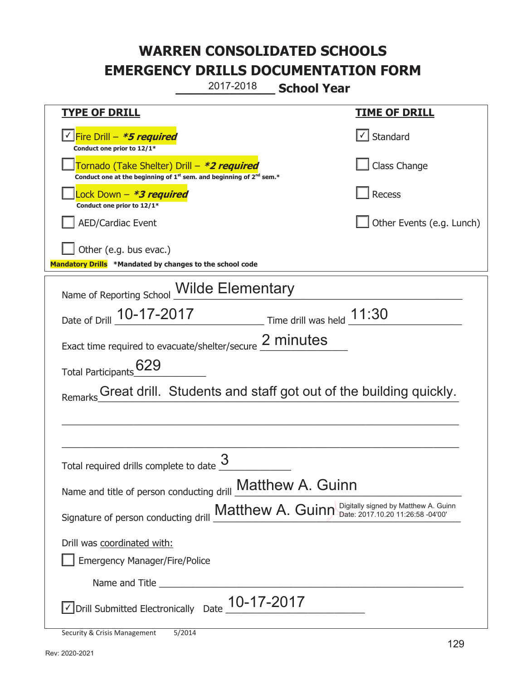**\_\_\_\_\_\_\_\_\_\_\_\_\_ School Year**  2017-2018

| <b>TYPE OF DRILL</b>                                                                                                                      | <u>TIME OF DRILL</u>                 |  |
|-------------------------------------------------------------------------------------------------------------------------------------------|--------------------------------------|--|
| <u>√ Fire Drill – <b>*5 required</b></u><br>Conduct one prior to 12/1*                                                                    | Standard                             |  |
| Tornado (Take Shelter) Drill – *2 required<br>Conduct one at the beginning of 1 <sup>st</sup> sem. and beginning of 2 <sup>nd</sup> sem.* | Class Change                         |  |
| Lock Down – <b>*<i>3 required</i></b><br>Conduct one prior to 12/1*                                                                       | Recess                               |  |
| <b>AED/Cardiac Event</b>                                                                                                                  | Other Events (e.g. Lunch)            |  |
| Other (e.g. bus evac.)                                                                                                                    |                                      |  |
| Mandatory Drills *Mandated by changes to the school code                                                                                  |                                      |  |
| Wilde Elementary<br>Name of Reporting School                                                                                              |                                      |  |
| Date of Drill 10-17-2017                                                                                                                  | $\equiv$ Time drill was held $11:30$ |  |
| Exact time required to evacuate/shelter/secure 2 minutes                                                                                  |                                      |  |
| 629<br>Total Participants                                                                                                                 |                                      |  |
| Great drill. Students and staff got out of the building quickly.<br>Remarks                                                               |                                      |  |
|                                                                                                                                           |                                      |  |
|                                                                                                                                           |                                      |  |
| Total required drills complete to date                                                                                                    |                                      |  |
| Name and title of person conducting drill <b>Matthew A. Guinn</b>                                                                         |                                      |  |
| Matthew A. Guinn Digitally signed by Matthew A. Guinn<br>Signature of person conducting drill                                             |                                      |  |
| Drill was coordinated with:                                                                                                               |                                      |  |
| <b>Emergency Manager/Fire/Police</b>                                                                                                      |                                      |  |
|                                                                                                                                           |                                      |  |
| Drill Submitted Electronically Date $\underline{\hspace{1mm}10}$ -17-2017                                                                 |                                      |  |
|                                                                                                                                           |                                      |  |